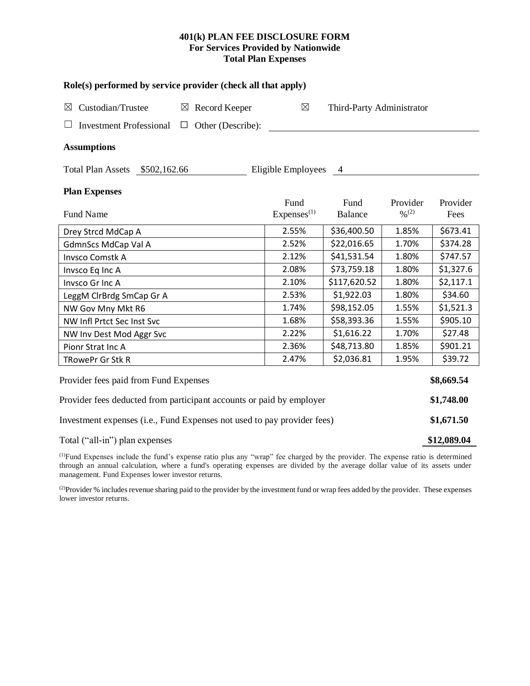# **401(k) PLAN FEE DISCLOSURE FORM For Services Provided by Nationwide Total Plan Expenses**

| Role(s) performed by service provider (check all that apply)            |                           |                        |                           |                              |            |  |  |  |  |
|-------------------------------------------------------------------------|---------------------------|------------------------|---------------------------|------------------------------|------------|--|--|--|--|
| Custodian/Trustee<br>$\boxtimes$                                        | $\boxtimes$ Record Keeper | $\boxtimes$            | Third-Party Administrator |                              |            |  |  |  |  |
| <b>Investment Professional</b>                                          | $\Box$ Other (Describe):  |                        |                           |                              |            |  |  |  |  |
| <b>Assumptions</b>                                                      |                           |                        |                           |                              |            |  |  |  |  |
| Total Plan Assets \$502,162.66                                          |                           | Eligible Employees     | $\overline{4}$            |                              |            |  |  |  |  |
| <b>Plan Expenses</b>                                                    |                           |                        |                           |                              |            |  |  |  |  |
|                                                                         |                           | Fund                   | Fund                      | Provider                     | Provider   |  |  |  |  |
| <b>Fund Name</b>                                                        |                           | Express <sup>(1)</sup> | <b>Balance</b>            | $\frac{0}{2}$ <sup>(2)</sup> | Fees       |  |  |  |  |
| Drey Strcd MdCap A                                                      |                           | 2.55%                  | \$36,400.50               | 1.85%                        | \$673.41   |  |  |  |  |
| GdmnScs MdCap Val A                                                     |                           | 2.52%                  | \$22,016.65               | 1.70%                        | \$374.28   |  |  |  |  |
| <b>Invsco Comstk A</b>                                                  |                           | 2.12%                  | \$41,531.54               | 1.80%                        | \$747.57   |  |  |  |  |
| Invsco Eq Inc A                                                         |                           | 2.08%                  | \$73,759.18               | 1.80%                        | \$1,327.6  |  |  |  |  |
| Invsco Gr Inc A                                                         |                           | 2.10%                  | \$117,620.52              | 1.80%                        | \$2,117.1  |  |  |  |  |
| LeggM ClrBrdg SmCap Gr A                                                | 2.53%                     | \$1,922.03             | 1.80%                     | \$34.60                      |            |  |  |  |  |
| NW Gov Mny Mkt R6                                                       | 1.74%                     | \$98,152.05            | 1.55%                     | \$1,521.3                    |            |  |  |  |  |
| NW Infl Prtct Sec Inst Svc                                              |                           | 1.68%                  | \$58,393.36               | 1.55%                        | \$905.10   |  |  |  |  |
| NW Inv Dest Mod Aggr Svc                                                |                           | 2.22%                  | \$1,616.22                | 1.70%                        | \$27.48    |  |  |  |  |
| Pionr Strat Inc A                                                       |                           | 2.36%                  | \$48,713.80               | 1.85%                        | \$901.21   |  |  |  |  |
| TRowePr Gr Stk R                                                        |                           | 2.47%                  | \$2,036.81                | 1.95%                        | \$39.72    |  |  |  |  |
| Provider fees paid from Fund Expenses                                   |                           |                        |                           |                              | \$8,669.54 |  |  |  |  |
| Provider fees deducted from participant accounts or paid by employer    |                           |                        |                           |                              |            |  |  |  |  |
| Investment expenses (i.e., Fund Expenses not used to pay provider fees) |                           |                        |                           |                              |            |  |  |  |  |
| Total ("all-in") plan expenses                                          |                           |                        |                           |                              |            |  |  |  |  |

(1)Fund Expenses include the fund's expense ratio plus any "wrap" fee charged by the provider. The expense ratio is determined through an annual calculation, where a fund's operating expenses are divided by the average dollar value of its assets under management. Fund Expenses lower investor returns.

(2) Provider % includes revenue sharing paid to the provider by the investment fund or wrap fees added by the provider. These expenses lower investor returns.